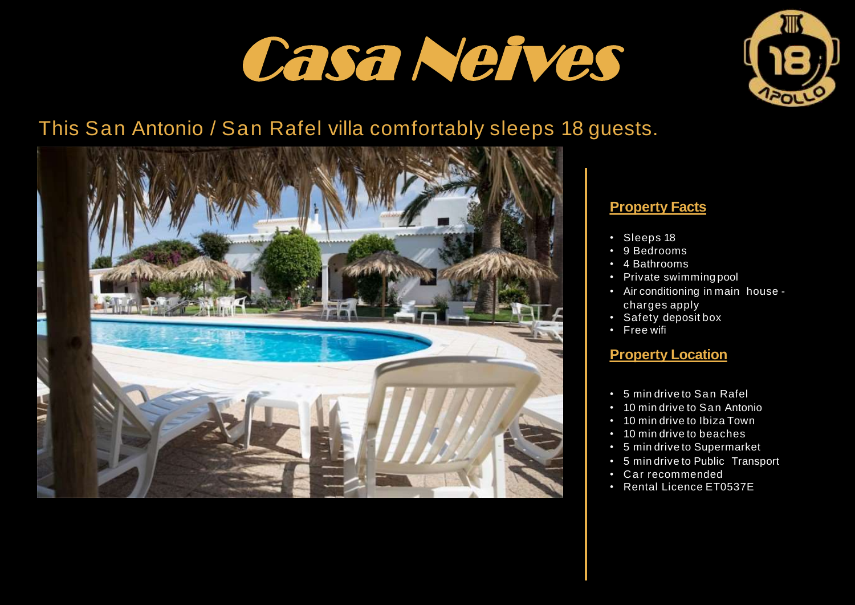



## This San Antonio / San Rafel villa comfortably sleeps 18 guests.



#### **Property Facts**

- Sleeps 18
- 9 Bedrooms
- 4 Bathrooms
- Private swimming pool
- Air conditioning in main house charges apply
- Safety deposit box
- Free wifi

#### **Property Location**

- 5 min drive to San Rafel
- 10 min drive to San Antonio
- 10 min drive to Ibiza Town
- 10 min drive to beaches
- 5 min drive to Supermarket
- 5 min drive to Public Transport
- C ar recommended
- Rental Licence ET0537E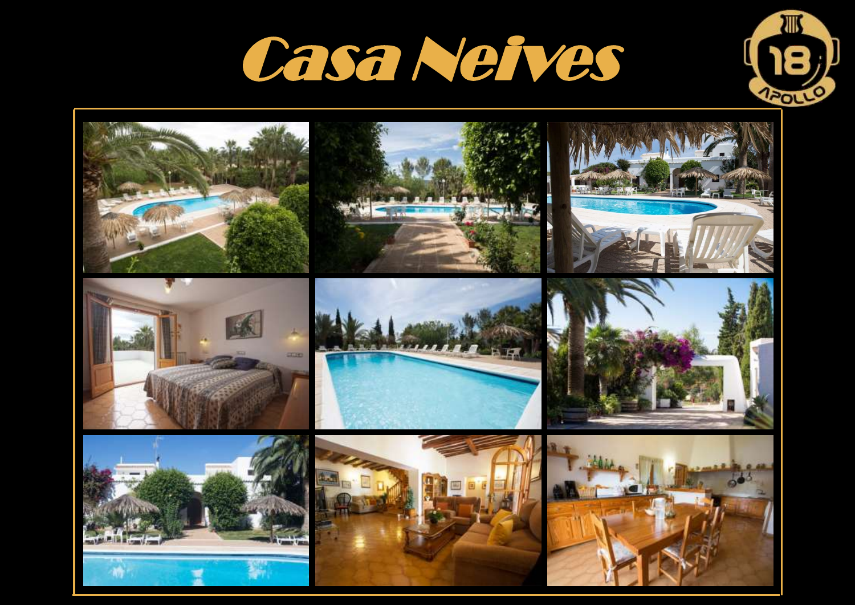



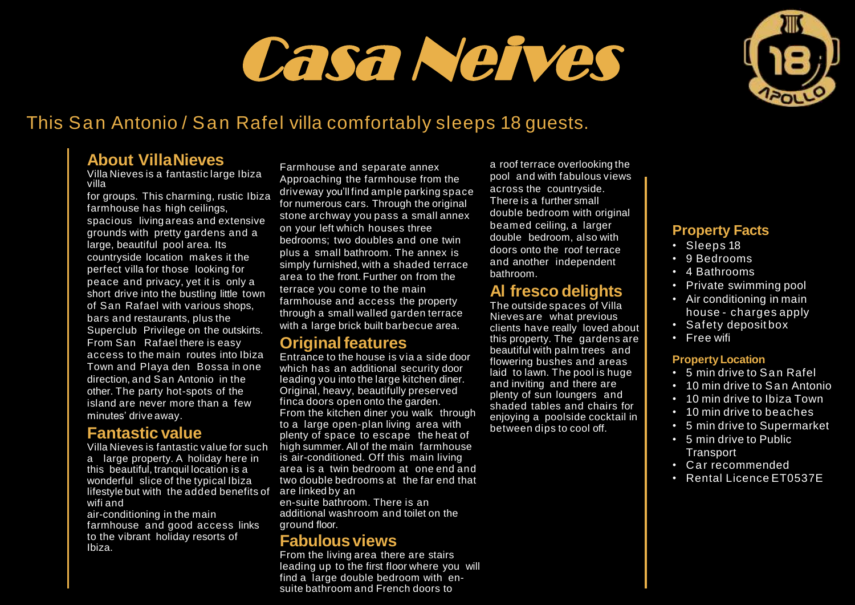# **Villa Nieves** Casa Neives



## This San Antonio / San Rafel villa comfortably sleeps 18 guests.

#### **About VillaNieves**

Villa Nieves is a fantastic large Ibiza villa

for groups. This charming, rustic Ibiza farmhouse has high ceilings. spacious living areas and extensive grounds with pretty gardens and a large, beautiful pool area. Its countryside location makes it the perfect villa for those looking for peace and privacy, yet it is only a short drive into the bustling little town of San Rafael with various shops, bars and restaurants, plus the Superclub Privilege on the outskirts. From San Rafael there is easy access to the main routes into Ibiza Town and Playa den Bossa in one direction, and San Antonio in the other. The party hot-spots of the island are never more than a few minutes' drive away.

#### **Fantastic value**

Villa Nieves is fantastic value for such a large property. A holiday here in this beautiful, tranquil location is a wonderful slice of the typical Ibiza lifestyle but with the added benefits of wifi and

air-conditioning in the main farmhouse and good access links to the vibrant holiday resorts of Ibiza.

Farmhouse and separate annex Approaching the farmhouse from the driveway you'll find ample parking space for numerous cars. Through the original stone archway you pass a small annex on your left which houses three bedrooms; two doubles and one twin plus a small bathroom. The annex is simply furnished, with a shaded terrace area to the front. Further on from the terrace you come to the main farmhouse and access the property through a small walled garden terrace with a large brick built barbecue area.

### **Originalfeatures**

Entrance to the house is via a side door which has an additional security door leading you into the large kitchen diner. Original, heavy, beautifully preserved finca doors open onto the garden. From the kitchen diner you walk through to a large open-plan living area with plenty of space to escape the heat of high summer. All of the main farmhouse is air-conditioned. Off this main living area is a twin bedroom at one end and two double bedrooms at the far end that are linked by an

en-suite bathroom. There is an additional washroom and toilet on the ground floor.

#### **Fabulousviews**

From the living area there are stairs leading up to the first floor where you will find a large double bedroom with ensuite bathroom and French doors to

a roof terrace overlooking the pool and with fabulous views across the countryside. There is a further small double bedroom with original beamed ceiling, a larger double bedroom, also with doors onto the roof terrace and another independent bathroom.

### **Al fresco delights**

The outside spaces of Villa Nieves are what previous clients have really loved about this property. The gardens are beautiful with palm trees and flowering bushes and areas laid to lawn. The pool is huge and inviting and there are plenty of sun loungers and shaded tables and chairs for enjoying a poolside cocktail in between dips to cool off.

#### **Property Facts**

- Sleeps 18
- 9 Bedrooms
- 4 Bathrooms
- Private swimming pool
- Air conditioning in main
- house charges apply
- Safety deposit box
- Free wifi

#### **PropertyLocation**

- 5 min drive to San Rafel
- 10 min drive to San Antonio
- 10 min drive to Ibiza Town
- 10 min drive to beaches
- 5 min drive to Supermarket
- 5 min drive to Public **Transport**
- Car recommended
- Rental Licence ET0537E